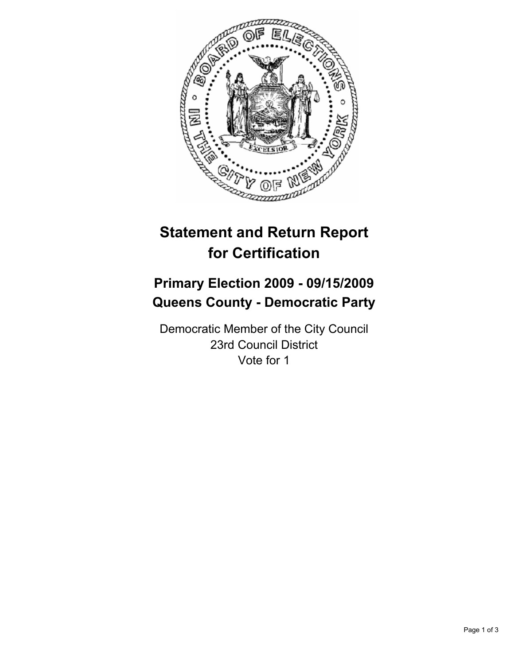

# **Statement and Return Report for Certification**

## **Primary Election 2009 - 09/15/2009 Queens County - Democratic Party**

Democratic Member of the City Council 23rd Council District Vote for 1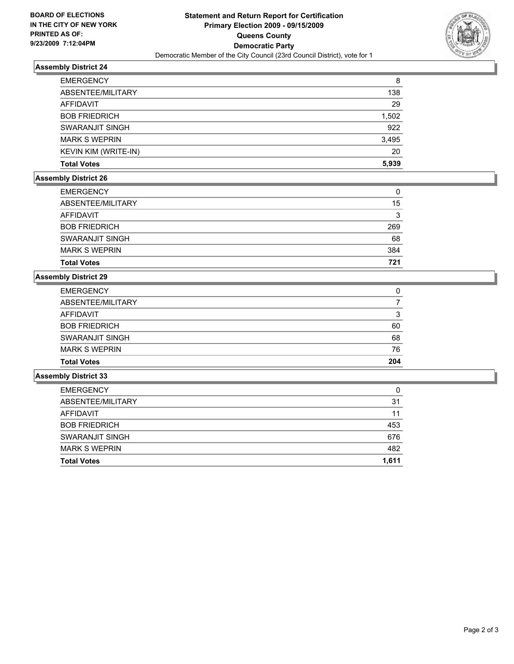

## **Assembly District 24**

| <b>EMERGENCY</b>            | 8     |
|-----------------------------|-------|
| ABSENTEE/MILITARY           | 138   |
| AFFIDAVIT                   | 29    |
| <b>BOB FRIEDRICH</b>        | 1,502 |
| SWARANJIT SINGH             | 922   |
| <b>MARK S WEPRIN</b>        | 3,495 |
| <b>KEVIN KIM (WRITE-IN)</b> | 20    |
| <b>Total Votes</b>          | 5,939 |

## **Assembly District 26**

| <b>Total Votes</b>   | 721 |
|----------------------|-----|
| <b>MARK S WEPRIN</b> | 384 |
| SWARANJIT SINGH      | 68  |
| <b>BOB FRIEDRICH</b> | 269 |
| AFFIDAVIT            | 3   |
| ABSENTEE/MILITARY    | 15  |
| <b>EMERGENCY</b>     | 0   |

### **Assembly District 29**

| <b>Total Votes</b>   | 204 |
|----------------------|-----|
| <b>MARK S WEPRIN</b> | 76  |
| SWARANJIT SINGH      | 68  |
| <b>BOB FRIEDRICH</b> | 60  |
| <b>AFFIDAVIT</b>     | 3   |
| ABSENTEE/MILITARY    |     |
| <b>EMERGENCY</b>     | 0   |

#### **Assembly District 33**

| <b>Total Votes</b>   | 1.611 |
|----------------------|-------|
| <b>MARK S WEPRIN</b> | 482   |
| SWARANJIT SINGH      | 676   |
| <b>BOB FRIEDRICH</b> | 453   |
| <b>AFFIDAVIT</b>     | 11    |
| ABSENTEE/MILITARY    | 31    |
| <b>EMERGENCY</b>     | 0     |